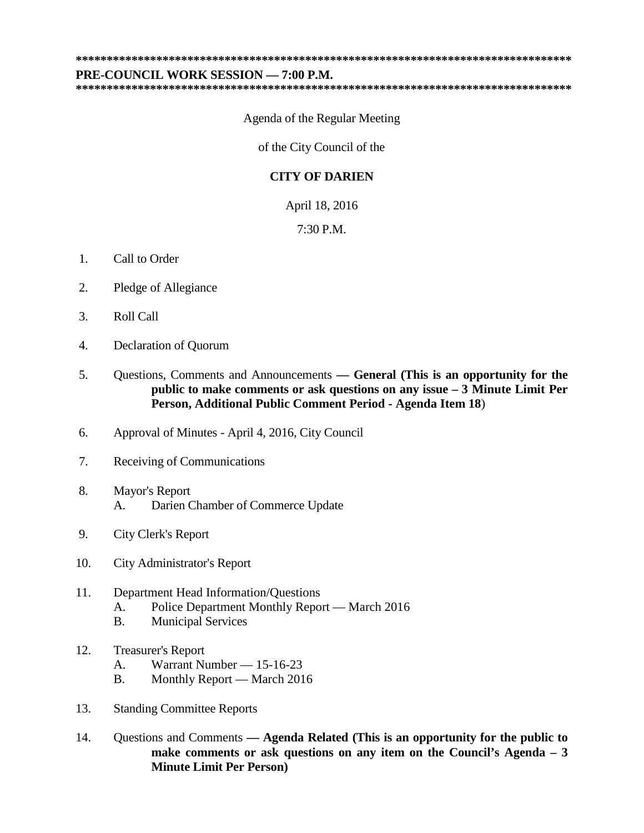**\*\*\*\*\*\*\*\*\*\*\*\*\*\*\*\*\*\*\*\*\*\*\*\*\*\*\*\*\*\*\*\*\*\*\*\*\*\*\*\*\*\*\*\*\*\*\*\*\*\*\*\*\*\*\*\*\*\*\*\*\*\*\*\*\*\*\*\*\*\*\*\*\*\*\*\*\*\*\*\***

## **PRE-COUNCIL WORK SESSION — 7:00 P.M.**

**\*\*\*\*\*\*\*\*\*\*\*\*\*\*\*\*\*\*\*\*\*\*\*\*\*\*\*\*\*\*\*\*\*\*\*\*\*\*\*\*\*\*\*\*\*\*\*\*\*\*\*\*\*\*\*\*\*\*\*\*\*\*\*\*\*\*\*\*\*\*\*\*\*\*\*\*\*\*\*\***

Agenda of the Regular Meeting

of the City Council of the

## **CITY OF DARIEN**

April 18, 2016

7:30 P.M.

- 1. Call to Order
- 2. Pledge of Allegiance
- 3. Roll Call
- 4. Declaration of Quorum
- 5. Questions, Comments and Announcements **— General (This is an opportunity for the public to make comments or ask questions on any issue – 3 Minute Limit Per Person, Additional Public Comment Period - Agenda Item 18**)
- 6. Approval of Minutes April 4, 2016, City Council
- 7. Receiving of Communications
- 8. Mayor's Report A. Darien Chamber of Commerce Update
- 9. City Clerk's Report
- 10. City Administrator's Report
- 11. Department Head Information/Questions A. Police Department Monthly Report — March 2016
	- B. Municipal Services
- 12. Treasurer's Report
	- A. Warrant Number 15-16-23
	- B. Monthly Report March 2016
- 13. Standing Committee Reports
- 14. Questions and Comments **— Agenda Related (This is an opportunity for the public to make comments or ask questions on any item on the Council's Agenda – 3 Minute Limit Per Person)**